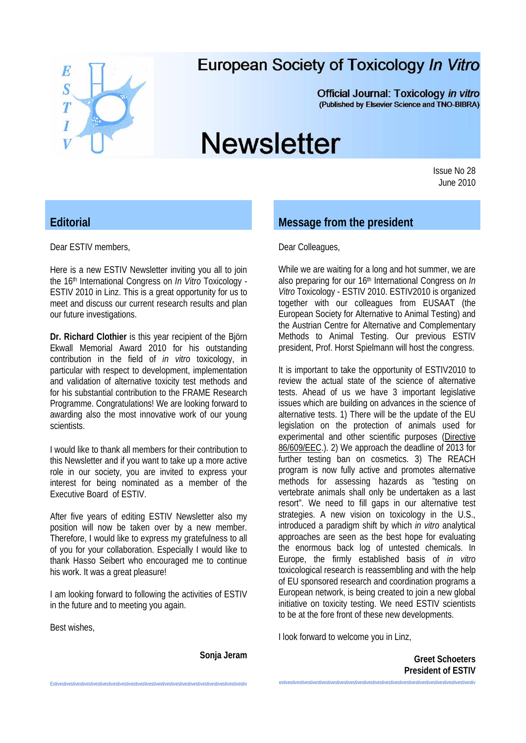

## **European Society of Toxicology In Vitro**

**Official Journal: Toxicology in vitro** (Published by Elsevier Science and TNO-BIBRA)

# **Newsletter**

Issue No 28 June 2010

#### **Editorial**

Dear ESTIV members,

Here is a new ESTIV Newsletter inviting you all to join the 16th International Congress on *In Vitro* Toxicology - ESTIV 2010 in Linz. This is a great opportunity for us to meet and discuss our current research results and plan our future investigations.

**Dr. Richard Clothier** is this year recipient of the Björn Ekwall Memorial Award 2010 for his outstanding contribution in the field of *in vitro* toxicology, in particular with respect to development, implementation and validation of alternative toxicity test methods and for his substantial contribution to the FRAME Research Programme. Congratulations! We are looking forward to awarding also the most innovative work of our young scientists.

I would like to thank all members for their contribution to this Newsletter and if you want to take up a more active role in our society, you are invited to express your interest for being nominated as a member of the Executive Board of ESTIV.

After five years of editing ESTIV Newsletter also my position will now be taken over by a new member. Therefore, I would like to express my gratefulness to all of you for your collaboration. Especially I would like to thank Hasso Seibert who encouraged me to continue his work. It was a great pleasure!

I am looking forward to following the activities of ESTIV in the future and to meeting you again.

Estivestivestivestivestivestivestivestivestivestivestivestivestivestivestivestivestivestivestivestivestivestiv

Best wishes.

**Sonja Jeram** 

### **Message from the president**

Dear Colleagues,

While we are waiting for a long and hot summer, we are also preparing for our 16th International Congress on *In Vitro* Toxicology - ESTIV 2010. ESTIV2010 is organized together with our colleagues from EUSAAT (the European Society for Alternative to Animal Testing) and the Austrian Centre for Alternative and Complementary Methods to Animal Testing. Our previous ESTIV president, Prof. Horst Spielmann will host the congress.

It is important to take the opportunity of ESTIV2010 to review the actual state of the science of alternative tests. Ahead of us we have 3 important legislative issues which are building on advances in the science of alternative tests. 1) There will be the update of the EU legislation on the protection of animals used for experimental and other scientific purposes (Directive [86/609/EEC.](http://eur-lex.europa.eu/LexUriServ/LexUriServ.do?uri=CELEX:31986L0609:EN:NOT)). 2) We approach the deadline of 2013 for further testing ban on cosmetics. 3) The REACH program is now fully active and promotes alternative methods for assessing hazards as "testing on vertebrate animals shall only be undertaken as a last resort". We need to fill gaps in our alternative test strategies. A new vision on toxicology in the U.S., introduced a paradigm shift by which *in vitro* analytical approaches are seen as the best hope for evaluating the enormous back log of untested chemicals. In Europe, the firmly established basis of *in vitro* toxicological research is reassembling and with the help of EU sponsored research and coordination programs a European network, is being created to join a new global initiative on toxicity testing. We need ESTIV scientists to be at the fore front of these new developments.

I look forward to welcome you in Linz,

estivestivestivestivestivestivestivestivestivestivestivestivestivestivestivestivestivestivestivestivestivestiv

**Greet Schoeters President of ESTIV**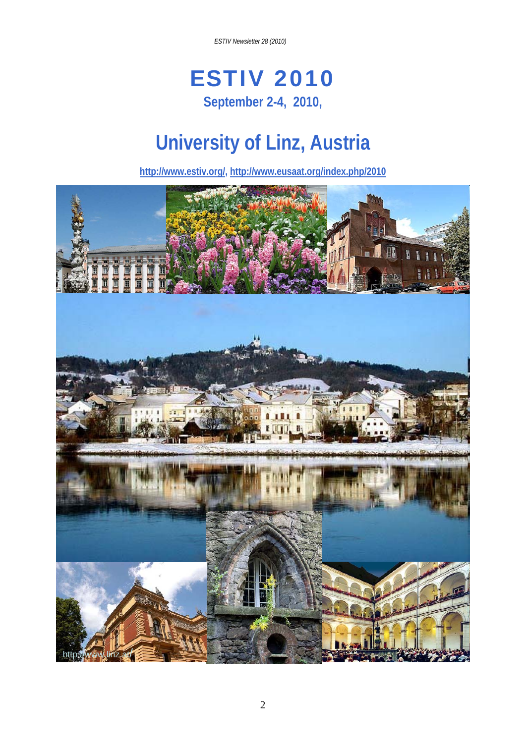## **ESTIV 2010 September 2-4, 2010,**

## **University of Linz, Austria**

**<http://www.estiv.org/>,<http://www.eusaat.org/index.php/2010>**

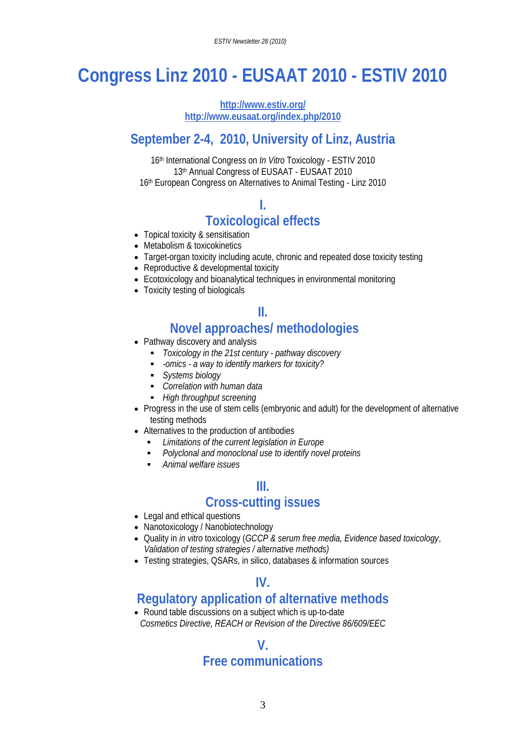## **Congress Linz 2010 - EUSAAT 2010 - ESTIV 2010**

**<http://www.estiv.org/> <http://www.eusaat.org/index.php/2010>**

## **September 2-4, 2010, University of Linz, Austria**

16th International Congress on *In Vitro* Toxicology - ESTIV 2010 13th Annual Congress of EUSAAT - EUSAAT 2010 16th European Congress on Alternatives to Animal Testing - Linz 2010

## **I. Toxicological effects**

- Topical toxicity & sensitisation
- Metabolism & toxicokinetics
- Target-organ toxicity including acute, chronic and repeated dose toxicity testing
- Reproductive & developmental toxicity
- Ecotoxicology and bioanalytical techniques in environmental monitoring
- Toxicity testing of biologicals

## **II.**

## **Novel approaches/ methodologies**

- Pathway discovery and analysis
	- *Toxicology in the 21st century pathway discovery*
	- *-omics a way to identify markers for toxicity?*
	- *Systems biology*
	- *Correlation with human data*
	- *High throughput screening*
- Progress in the use of stem cells (embryonic and adult) for the development of alternative testing methods
- Alternatives to the production of antibodies
	- *Limitations of the current legislation in Europe*
	- *Polyclonal and monoclonal use to identify novel proteins*
	- *Animal welfare issues*

## **III.**

## **Cross-cutting issues**

- Legal and ethical questions
- Nanotoxicology / Nanobiotechnology
- Quality in *in vitro* toxicology (*GCCP & serum free media, Evidence based toxicology*, *Validation of testing strategies / alternative methods)*
- Testing strategies, QSARs, in silico, databases & information sources

## **IV.**

## **Regulatory application of alternative methods**

• Round table discussions on a subject which is up-to-date *Cosmetics Directive, REACH or Revision of the Directive 86/609/EEC*

## $\mathbf{V}$

## **Free communications**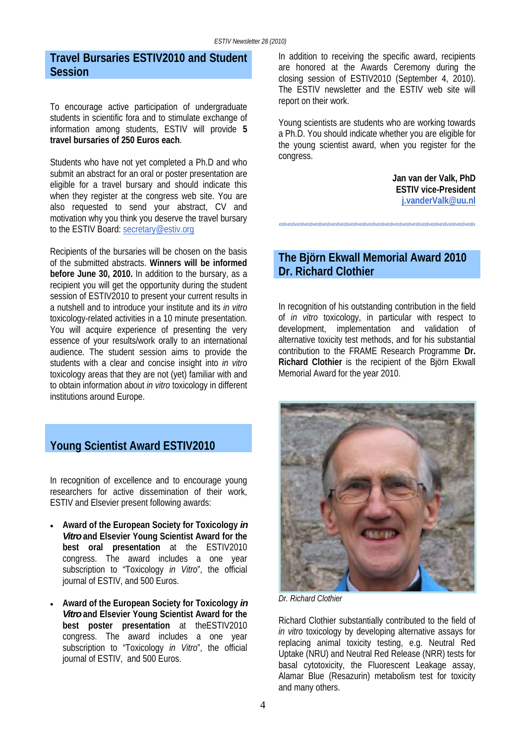#### **Travel Bursaries ESTIV2010 and Student Session**

To encourage active participation of undergraduate students in scientific fora and to stimulate exchange of information among students, ESTIV will provide **5 travel bursaries of 250 Euros each**.

Students who have not yet completed a Ph.D and who submit an abstract for an oral or poster presentation are eligible for a travel bursary and should indicate this when they register at the congress web site. You are also requested to send your abstract, CV and motivation why you think you deserve the travel bursary to the ESTIV Board: [secretary@estiv.org](mailto:secretary@estiv.org)

Recipients of the bursaries will be chosen on the basis of the submitted abstracts. **Winners will be informed before June 30, 2010.** In addition to the bursary, as a recipient you will get the opportunity during the student session of ESTIV2010 to present your current results in a nutshell and to introduce your institute and its *in vitro* toxicology-related activities in a 10 minute presentation. You will acquire experience of presenting the very essence of your results/work orally to an international audience. The student session aims to provide the students with a clear and concise insight into *in vitro* toxicology areas that they are not (yet) familiar with and to obtain information about *in vitro* toxicology in different institutions around Europe.

## **Young Scientist Award ESTIV2010**

In recognition of excellence and to encourage young researchers for active dissemination of their work, ESTIV and Elsevier present following awards:

- **Award of the European Society for Toxicology** *in Vitro* **and Elsevier Young Scientist Award for the best oral presentation** at the ESTIV2010 congress. The award includes a one year subscription to "Toxicology *in Vitro*", the official journal of ESTIV, and 500 Euros.
- **Award of the European Society for Toxicology** *in Vitro* **and Elsevier Young Scientist Award for the best poster presentation** at theESTIV2010 congress. The award includes a one year subscription to "Toxicology *in Vitro*", the official journal of ESTIV, and 500 Euros.

In addition to receiving the specific award, recipients are honored at the Awards Ceremony during the closing session of ESTIV2010 (September 4, 2010). The ESTIV newsletter and the ESTIV web site will report on their work.

Young scientists are students who are working towards a Ph.D. You should indicate whether you are eligible for the young scientist award, when you register for the congress.

> **Jan van der Valk, PhD ESTIV vice-President [j.vanderValk@uu.nl](mailto:j.vanderValk@uu.nl)**

## **The Björn Ekwall Memorial Award 2010 Dr. Richard Clothier**

estivestivestivestivestivestivestivestivestivestivestivestivestivestivestivestivestivestivestivestivestivestiv

In recognition of his outstanding contribution in the field of *in vitro* toxicology, in particular with respect to development, implementation and validation of alternative toxicity test methods, and for his substantial contribution to the FRAME Research Programme **Dr. Richard Clothier** is the recipient of the Björn Ekwall Memorial Award for the year 2010.



*Dr. Richard Clothier* 

Richard Clothier substantially contributed to the field of *in vitro* toxicology by developing alternative assays for replacing animal toxicity testing, e.g. Neutral Red Uptake (NRU) and Neutral Red Release (NRR) tests for basal cytotoxicity, the Fluorescent Leakage assay, Alamar Blue (Resazurin) metabolism test for toxicity and many others.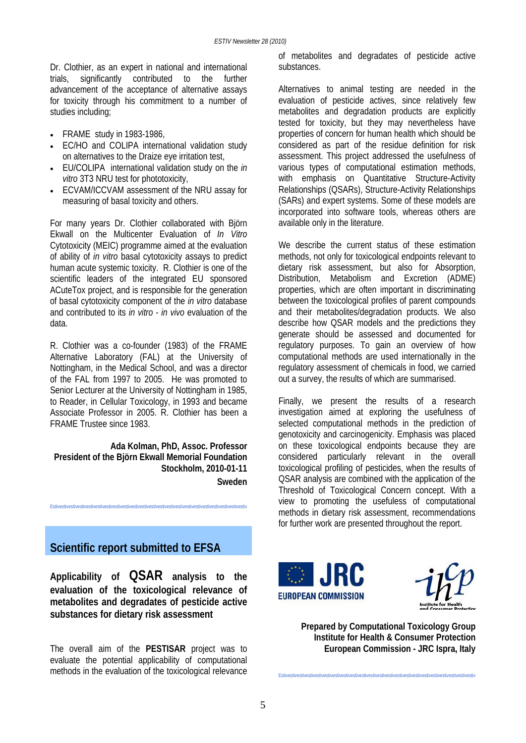Dr. Clothier, as an expert in national and international trials, significantly contributed to the further advancement of the acceptance of alternative assays for toxicity through his commitment to a number of studies including;

- FRAME study in 1983-1986,
- EC/HO and COLIPA international validation study on alternatives to the Draize eye irritation test,
- EU/COLIPA international validation study on the *in vitro* 3T3 NRU test for phototoxicity,
- ECVAM/ICCVAM assessment of the NRU assay for measuring of basal toxicity and others.

For many years Dr. Clothier collaborated with Björn Ekwall on the Multicenter Evaluation of *In Vitro* Cytotoxicity (MEIC) programme aimed at the evaluation of ability of *in vitro* basal cytotoxicity assays to predict human acute systemic toxicity. R. Clothier is one of the scientific leaders of the integrated EU sponsored ACuteTox project, and is responsible for the generation of basal cytotoxicity component of the *in vitro* database and contributed to its *in vitro - in vivo* evaluation of the data.

R. Clothier was a co-founder (1983) of the FRAME Alternative Laboratory (FAL) at the University of Nottingham, in the Medical School, and was a director of the FAL from 1997 to 2005. He was promoted to Senior Lecturer at the University of Nottingham in 1985, to Reader, in Cellular Toxicology, in 1993 and became Associate Professor in 2005. R. Clothier has been a FRAME Trustee since 1983.

**Ada Kolman, PhD, Assoc. Professor President of the Björn Ekwall Memorial Foundation Stockholm, 2010-01-11 Sweden** 

Estivestivestivestivestivestivestivestivestivestivestivestivestivestivestivestivestivestivestivestivestivestiv

**Scientific report submitted to EFSA** 

**Applicability of QSAR analysis to the evaluation of the toxicological relevance of metabolites and degradates of pesticide active substances for dietary risk assessment** 

The overall aim of the **PESTISAR** project was to evaluate the potential applicability of computational methods in the evaluation of the toxicological relevance of metabolites and degradates of pesticide active substances.

Alternatives to animal testing are needed in the evaluation of pesticide actives, since relatively few metabolites and degradation products are explicitly tested for toxicity, but they may nevertheless have properties of concern for human health which should be considered as part of the residue definition for risk assessment. This project addressed the usefulness of various types of computational estimation methods, with emphasis on Quantitative Structure-Activity Relationships (QSARs), Structure-Activity Relationships (SARs) and expert systems. Some of these models are incorporated into software tools, whereas others are available only in the literature.

We describe the current status of these estimation methods, not only for toxicological endpoints relevant to dietary risk assessment, but also for Absorption, Distribution, Metabolism and Excretion (ADME) properties, which are often important in discriminating between the toxicological profiles of parent compounds and their metabolites/degradation products. We also describe how QSAR models and the predictions they generate should be assessed and documented for regulatory purposes. To gain an overview of how computational methods are used internationally in the regulatory assessment of chemicals in food, we carried out a survey, the results of which are summarised.

Finally, we present the results of a research investigation aimed at exploring the usefulness of selected computational methods in the prediction of genotoxicity and carcinogenicity. Emphasis was placed on these toxicological endpoints because they are considered particularly relevant in the overall toxicological profiling of pesticides, when the results of QSAR analysis are combined with the application of the Threshold of Toxicological Concern concept. With a view to promoting the usefuless of computational methods in dietary risk assessment, recommendations for further work are presented throughout the report.





**Prepared by Computational Toxicology Group Institute for Health & Consumer Protection European Commission - JRC Ispra, Italy** 

Estivestivestivestivestivestivestivestivestivestivestivestivestivestivestivestivestivestivestivestivestivestiv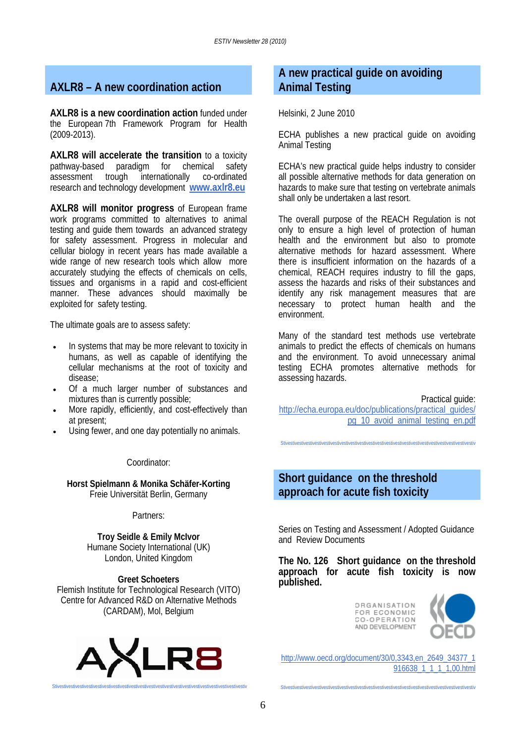## **AXLR8 – A new coordination action**

**AXLR8 is a new coordination action** funded under the European 7th Framework Program for Health (2009-2013).

**AXLR8 will accelerate the transition** to a toxicity pathway-based paradigm for chemical safety assessment trough internationally co-ordinated research and technology development **[www.axlr8.eu](http://www.axlr8.eu/)**

**AXLR8 will monitor progress** of European frame work programs committed to alternatives to animal testing and guide them towards an advanced strategy for safety assessment. Progress in molecular and cellular biology in recent years has made available a wide range of new research tools which allow more accurately studying the effects of chemicals on cells, tissues and organisms in a rapid and cost-efficient manner. These advances should maximally be exploited for safety testing.

The ultimate goals are to assess safety:

- In systems that may be more relevant to toxicity in humans, as well as capable of identifying the cellular mechanisms at the root of toxicity and disease;
- Of a much larger number of substances and mixtures than is currently possible;
- More rapidly, efficiently, and cost-effectively than at present;
- Using fewer, and one day potentially no animals.

#### Coordinator:

**Horst Spielmann & Monika Schäfer-Korting**  Freie Universität Berlin, Germany

Partners:

**Troy Seidle & Emily McIvor**  Humane Society International (UK) London, United Kingdom

**Greet Schoeters**  Flemish Institute for Technological Research (VITO) Centre for Advanced R&D on Alternative Methods (CARDAM), Mol, Belgium



Stivestivestivestivestivestivestivestivestivestivestivestivestivestivestivestivestivestivestivestivestivestiv

#### **A new practical guide on avoiding Animal Testing**

Helsinki, 2 June 2010

ECHA publishes a new practical guide on avoiding Animal Testing

ECHA's new practical guide helps industry to consider all possible alternative methods for data generation on hazards to make sure that testing on vertebrate animals shall only be undertaken a last resort.

The overall purpose of the REACH Regulation is not only to ensure a high level of protection of human health and the environment but also to promote alternative methods for hazard assessment. Where there is insufficient information on the hazards of a chemical, REACH requires industry to fill the gaps, assess the hazards and risks of their substances and identify any risk management measures that are necessary to protect human health and the environment.

Many of the standard test methods use vertebrate animals to predict the effects of chemicals on humans and the environment. To avoid unnecessary animal testing ECHA promotes alternative methods for assessing hazards.

Practical guide: http://echa.europa.eu/doc/publications/practical\_quides/ [pg\\_10\\_avoid\\_animal\\_testing\\_en.pdf](http://echa.europa.eu/doc/publications/practical_guides/pg_10_avoid_animal_testing_en.pdf)

Stivestivestivestivestivestivestivestivestivestivestivestivestivestivestivestivestivestivestivestivestivestiv

## **Short guidance on the threshold approach for acute fish toxicity**

Series on Testing and Assessment / Adopted Guidance and Review Documents

**The No. 126 Short guidance on the threshold approach for acute fish toxicity is now published.**

> DRGANISATION FOR ECONOMIC CO-OPERATION AND DEVELOPMENT



[http://www.oecd.org/document/30/0,3343,en\\_2649\\_34377\\_1](http://www.oecd.org/document/30/0,3343,en_2649_34377_1916638_1_1_1_1,00.html) [916638\\_1\\_1\\_1\\_1,00.html](http://www.oecd.org/document/30/0,3343,en_2649_34377_1916638_1_1_1_1,00.html)

Stivestivestivestivestivestivestivestivestivestivestivestivestivestivestivestivestivestivestivestivestivestiv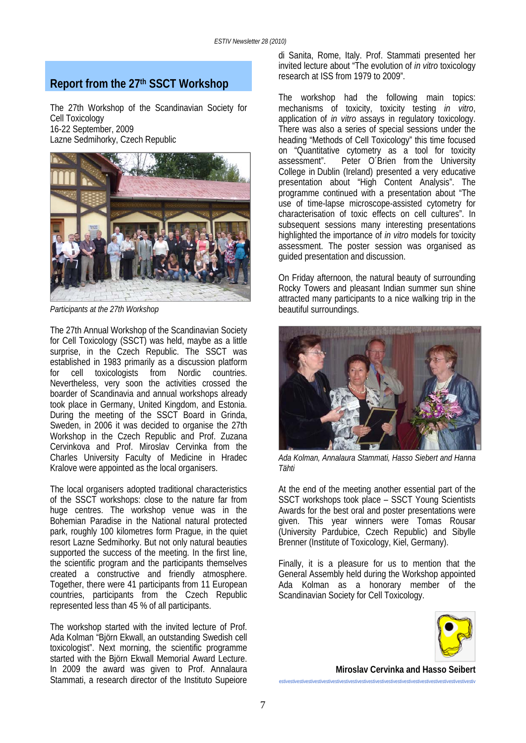## **Report from the 27th SSCT Workshop**

The 27th Workshop of the Scandinavian Society for Cell Toxicology 16-22 September, 2009 Lazne Sedmihorky, Czech Republic



*Participants at the 27th Workshop* 

The 27th Annual Workshop of the Scandinavian Society for Cell Toxicology (SSCT) was held, maybe as a little surprise, in the Czech Republic. The SSCT was established in 1983 primarily as a discussion platform for cell toxicologists from Nordic countries. Nevertheless, very soon the activities crossed the boarder of Scandinavia and annual workshops already took place in Germany, United Kingdom, and Estonia. During the meeting of the SSCT Board in Grinda, Sweden, in 2006 it was decided to organise the 27th Workshop in the Czech Republic and Prof. Zuzana Cervinkova and Prof. Miroslav Cervinka from the Charles University Faculty of Medicine in Hradec Kralove were appointed as the local organisers.

The local organisers adopted traditional characteristics of the SSCT workshops: close to the nature far from huge centres. The workshop venue was in the Bohemian Paradise in the National natural protected park, roughly 100 kilometres form Prague, in the quiet resort Lazne Sedmihorky. But not only natural beauties supported the success of the meeting. In the first line, the scientific program and the participants themselves created a constructive and friendly atmosphere. Together, there were 41 participants from 11 European countries, participants from the Czech Republic represented less than 45 % of all participants.

The workshop started with the invited lecture of Prof. Ada Kolman "Björn Ekwall, an outstanding Swedish cell toxicologist". Next morning, the scientific programme started with the Björn Ekwall Memorial Award Lecture. In 2009 the award was given to Prof. Annalaura Stammati, a research director of the Instituto Supeiore

di Sanita, Rome, Italy. Prof. Stammati presented her invited lecture about "The evolution of *in vitro* toxicology research at ISS from 1979 to 2009".

The workshop had the following main topics: mechanisms of toxicity, toxicity testing *in vitro*, application of *in vitro* assays in regulatory toxicology. There was also a series of special sessions under the heading "Methods of Cell Toxicology" this time focused on "Quantitative cytometry as a tool for toxicity assessment". Peter O´Brien from the University College in Dublin (Ireland) presented a very educative presentation about "High Content Analysis". The programme continued with a presentation about "The use of time-lapse microscope-assisted cytometry for characterisation of toxic effects on cell cultures". In subsequent sessions many interesting presentations highlighted the importance of *in vitro* models for toxicity assessment. The poster session was organised as guided presentation and discussion.

On Friday afternoon, the natural beauty of surrounding Rocky Towers and pleasant Indian summer sun shine attracted many participants to a nice walking trip in the beautiful surroundings.



*Ada Kolman, Annalaura Stammati, Hasso Siebert and Hanna Tähti* 

At the end of the meeting another essential part of the SSCT workshops took place – SSCT Young Scientists Awards for the best oral and poster presentations were given. This year winners were Tomas Rousar (University Pardubice, Czech Republic) and Sibylle Brenner (Institute of Toxicology, Kiel, Germany).

Finally, it is a pleasure for us to mention that the General Assembly held during the Workshop appointed Ada Kolman as a honorary member of the Scandinavian Society for Cell Toxicology.

estivestivestivestivestivestivestivestivestivestivestivestivestivestivestivestivestivestivestivestivestivestiv



**Miroslav Cervinka and Hasso Seibert**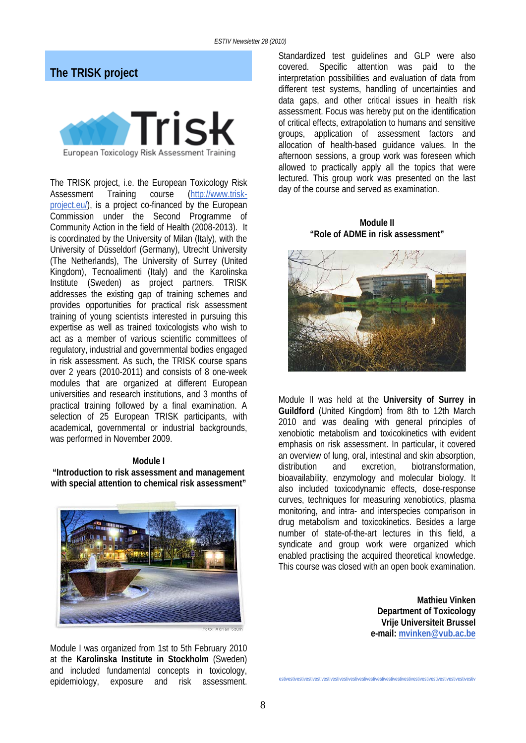### **The TRISK project**



The TRISK project, i.e. the European Toxicology Risk Assessment Training course ([http://www.trisk](http://www.trisk-project.eu/)[project.eu/\)](http://www.trisk-project.eu/), is a project co-financed by the European Commission under the Second Programme of Community Action in the field of Health (2008-2013). It is coordinated by the University of Milan (Italy), with the University of Düsseldorf (Germany), Utrecht University (The Netherlands), The University of Surrey (United Kingdom), Tecnoalimenti (Italy) and the Karolinska Institute (Sweden) as project partners. TRISK addresses the existing gap of training schemes and provides opportunities for practical risk assessment training of young scientists interested in pursuing this expertise as well as trained toxicologists who wish to act as a member of various scientific committees of regulatory, industrial and governmental bodies engaged in risk assessment. As such, the TRISK course spans over 2 years (2010-2011) and consists of 8 one-week modules that are organized at different European universities and research institutions, and 3 months of practical training followed by a final examination. A selection of 25 European TRISK participants, with academical, governmental or industrial backgrounds, was performed in November 2009.

#### **Module I**

**"Introduction to risk assessment and management with special attention to chemical risk assessment"** 



Module I was organized from 1st to 5th February 2010 at the **Karolinska Institute in Stockholm** (Sweden) and included fundamental concepts in toxicology, epidemiology, exposure and risk assessment.

Standardized test guidelines and GLP were also covered. Specific attention was paid to the interpretation possibilities and evaluation of data from different test systems, handling of uncertainties and data gaps, and other critical issues in health risk assessment. Focus was hereby put on the identification of critical effects, extrapolation to humans and sensitive groups, application of assessment factors and allocation of health-based guidance values. In the afternoon sessions, a group work was foreseen which allowed to practically apply all the topics that were lectured. This group work was presented on the last day of the course and served as examination.

> **Module II "Role of ADME in risk assessment"**



Module II was held at the **University of Surrey in Guildford** (United Kingdom) from 8th to 12th March 2010 and was dealing with general principles of xenobiotic metabolism and toxicokinetics with evident emphasis on risk assessment. In particular, it covered an overview of lung, oral, intestinal and skin absorption, distribution and excretion, biotransformation, bioavailability, enzymology and molecular biology. It also included toxicodynamic effects, dose-response curves, techniques for measuring xenobiotics, plasma monitoring, and intra- and interspecies comparison in drug metabolism and toxicokinetics. Besides a large number of state-of-the-art lectures in this field, a syndicate and group work were organized which enabled practising the acquired theoretical knowledge. This course was closed with an open book examination.

estivestivestivestivestivestivestivestivestivestivestivestivestivestivestivestivestivestivestivestivestivestiv

**Mathieu Vinken Department of Toxicology Vrije Universiteit Brussel e-mail: [mvinken@vub.ac.be](mailto:mvinken@vub.ac.be)**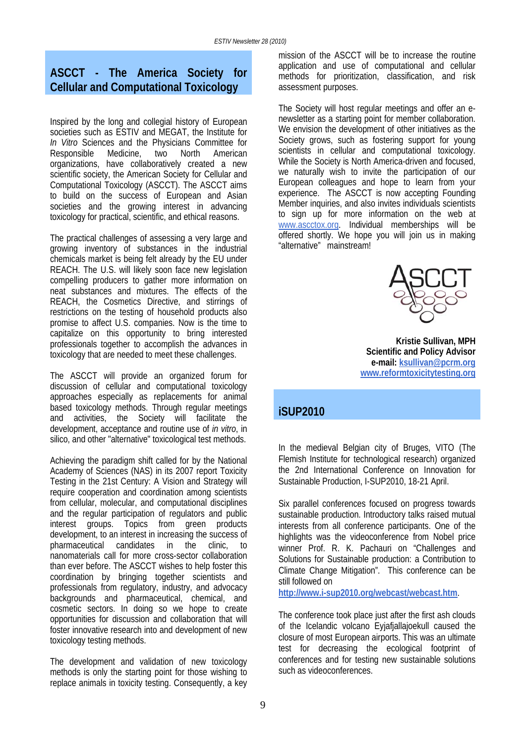## **ASCCT - The America Society for Cellular and Computational Toxicology**

Inspired by the long and collegial history of European societies such as ESTIV and MEGAT, the Institute for *In Vitro* Sciences and the Physicians Committee for Responsible Medicine, two North American organizations, have collaboratively created a new scientific society, the American Society for Cellular and Computational Toxicology (ASCCT). The ASCCT aims to build on the success of European and Asian societies and the growing interest in advancing toxicology for practical, scientific, and ethical reasons.

The practical challenges of assessing a very large and growing inventory of substances in the industrial chemicals market is being felt already by the EU under REACH. The U.S. will likely soon face new legislation compelling producers to gather more information on neat substances and mixtures. The effects of the REACH, the Cosmetics Directive, and stirrings of restrictions on the testing of household products also promise to affect U.S. companies. Now is the time to capitalize on this opportunity to bring interested professionals together to accomplish the advances in toxicology that are needed to meet these challenges.

The ASCCT will provide an organized forum for discussion of cellular and computational toxicology approaches especially as replacements for animal based toxicology methods. Through regular meetings and activities, the Society will facilitate the development, acceptance and routine use of *in vitro*, in silico, and other "alternative" toxicological test methods.

Achieving the paradigm shift called for by the National Academy of Sciences (NAS) in its 2007 report Toxicity Testing in the 21st Century: A Vision and Strategy will require cooperation and coordination among scientists from cellular, molecular, and computational disciplines and the regular participation of regulators and public interest groups. Topics from green products development, to an interest in increasing the success of pharmaceutical candidates in the clinic, to nanomaterials call for more cross-sector collaboration than ever before. The ASCCT wishes to help foster this coordination by bringing together scientists and professionals from regulatory, industry, and advocacy backgrounds and pharmaceutical, chemical, and cosmetic sectors. In doing so we hope to create opportunities for discussion and collaboration that will foster innovative research into and development of new toxicology testing methods.

The development and validation of new toxicology methods is only the starting point for those wishing to replace animals in toxicity testing. Consequently, a key mission of the ASCCT will be to increase the routine application and use of computational and cellular methods for prioritization, classification, and risk assessment purposes.

The Society will host regular meetings and offer an enewsletter as a starting point for member collaboration. We envision the development of other initiatives as the Society grows, such as fostering support for young scientists in cellular and computational toxicology. While the Society is North America-driven and focused, we naturally wish to invite the participation of our European colleagues and hope to learn from your experience. The ASCCT is now accepting Founding Member inquiries, and also invites individuals scientists to sign up for more information on the web at [www.ascctox.org](http://www.ascctox.org/). Individual memberships will be offered shortly. We hope you will join us in making "alternative" mainstream!



**Kristie Sullivan, MPH Scientific and Policy Advisor e-mail: [ksullivan@pcrm.org](mailto:ksullivan@pcrm.org) [www.reformtoxicitytesting.org](http://www.reformtoxicitytesting.org/)**

## **iSUP2010**

In the medieval Belgian city of Bruges, VITO (The Flemish Institute for technological research) organized the 2nd International Conference on Innovation for Sustainable Production, I-SUP2010, 18-21 April.

Six parallel conferences focused on progress towards sustainable production. Introductory talks raised mutual interests from all conference participants. One of the highlights was the videoconference from Nobel price winner Prof. R. K. Pachauri on "Challenges and Solutions for Sustainable production: a Contribution to Climate Change Mitigation". This conference can be still followed on

**<http://www.i-sup2010.org/webcast/webcast.htm>**.

The conference took place just after the first ash clouds of the Icelandic volcano Eyjafjallajoekull caused the closure of most European airports. This was an ultimate test for decreasing the ecological footprint of conferences and for testing new sustainable solutions such as videoconferences.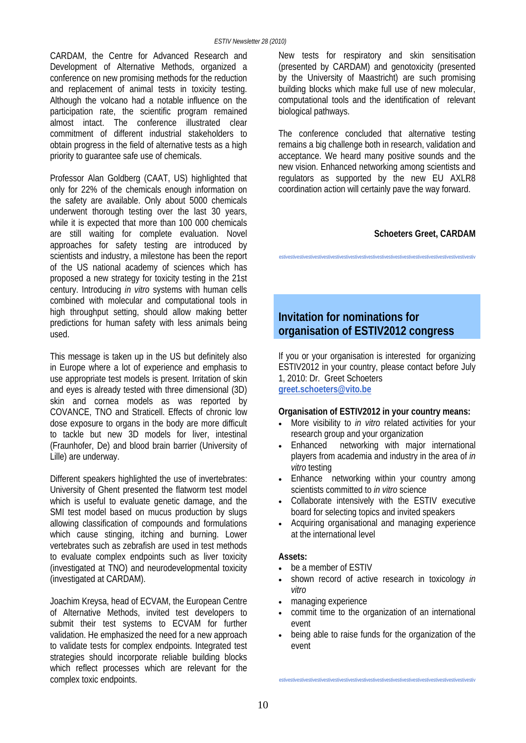CARDAM, the Centre for Advanced Research and Development of Alternative Methods, organized a conference on new promising methods for the reduction and replacement of animal tests in toxicity testing. Although the volcano had a notable influence on the participation rate, the scientific program remained almost intact. The conference illustrated clear commitment of different industrial stakeholders to obtain progress in the field of alternative tests as a high priority to guarantee safe use of chemicals.

Professor Alan Goldberg (CAAT, US) highlighted that only for 22% of the chemicals enough information on the safety are available. Only about 5000 chemicals underwent thorough testing over the last 30 years, while it is expected that more than 100 000 chemicals are still waiting for complete evaluation. Novel approaches for safety testing are introduced by scientists and industry, a milestone has been the report of the US national academy of sciences which has proposed a new strategy for toxicity testing in the 21st century. Introducing *in vitro* systems with human cells combined with molecular and computational tools in high throughput setting, should allow making better predictions for human safety with less animals being used.

This message is taken up in the US but definitely also in Europe where a lot of experience and emphasis to use appropriate test models is present. Irritation of skin and eyes is already tested with three dimensional (3D) skin and cornea models as was reported by COVANCE, TNO and Straticell. Effects of chronic low dose exposure to organs in the body are more difficult to tackle but new 3D models for liver, intestinal (Fraunhofer, De) and blood brain barrier (University of Lille) are underway.

Different speakers highlighted the use of invertebrates: University of Ghent presented the flatworm test model which is useful to evaluate genetic damage, and the SMI test model based on mucus production by slugs allowing classification of compounds and formulations which cause stinging, itching and burning. Lower vertebrates such as zebrafish are used in test methods to evaluate complex endpoints such as liver toxicity (investigated at TNO) and neurodevelopmental toxicity (investigated at CARDAM).

Joachim Kreysa, head of ECVAM, the European Centre of Alternative Methods, invited test developers to submit their test systems to ECVAM for further validation. He emphasized the need for a new approach to validate tests for complex endpoints. Integrated test strategies should incorporate reliable building blocks which reflect processes which are relevant for the complex toxic endpoints.

New tests for respiratory and skin sensitisation (presented by CARDAM) and genotoxicity (presented by the University of Maastricht) are such promising building blocks which make full use of new molecular, computational tools and the identification of relevant biological pathways.

The conference concluded that alternative testing remains a big challenge both in research, validation and acceptance. We heard many positive sounds and the new vision. Enhanced networking among scientists and regulators as supported by the new EU AXLR8 coordination action will certainly pave the way forward.

#### **Schoeters Greet, CARDAM**

estivestivestivestivestivestivestivestivestivestivestivestivestivestivestivestivestivestivestivestivestivestiv

## **Invitation for nominations for organisation of ESTIV2012 congress**

If you or your organisation is interested for organizing ESTIV2012 in your country, please contact before July 1, 2010: Dr. Greet Schoeters **[greet.schoeters@vito.be](mailto:greet.schoeters@vito.be)**

#### **Organisation of ESTIV2012 in your country means:**

- More visibility to *in vitro* related activities for your research group and your organization
- Enhanced networking with major international players from academia and industry in the area of *in vitro* testing
- Enhance networking within your country among scientists committed to *in vitro* science
- Collaborate intensively with the ESTIV executive board for selecting topics and invited speakers
- Acquiring organisational and managing experience at the international level

#### **Assets:**

- be a member of ESTIV
- shown record of active research in toxicology *in vitro*
- managing experience
- commit time to the organization of an international event
- being able to raise funds for the organization of the event

estivestivestivestivestivestivestivestivestivestivestivestivestivestivestivestivestivestivestivestivestivestiv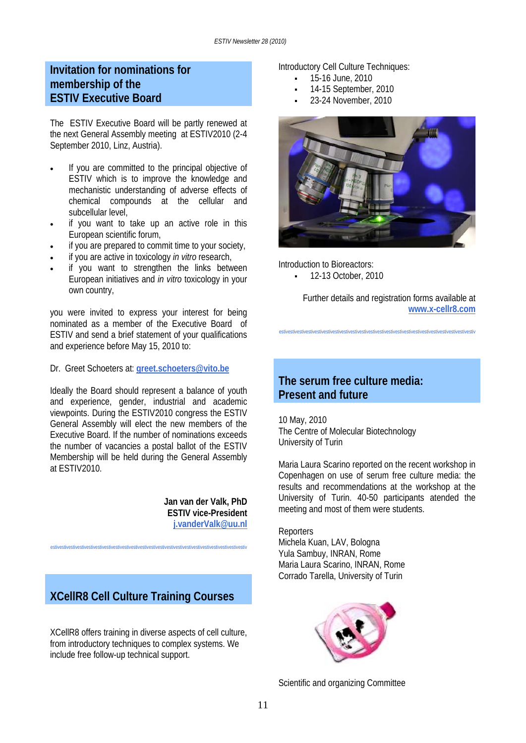### **Invitation for nominations for membership of the ESTIV Executive Board**

The ESTIV Executive Board will be partly renewed at the next General Assembly meeting at ESTIV2010 (2-4 September 2010, Linz, Austria).

- If you are committed to the principal objective of ESTIV which is to improve the knowledge and mechanistic understanding of adverse effects of chemical compounds at the cellular and subcellular level,
- if you want to take up an active role in this European scientific forum,
- if you are prepared to commit time to your society,
- if you are active in toxicology *in vitro* research,
- if you want to strengthen the links between European initiatives and *in vitro* toxicology in your own country,

you were invited to express your interest for being nominated as a member of the Executive Board of ESTIV and send a brief statement of your qualifications and experience before May 15, 2010 to:

#### Dr. Greet Schoeters at: **[greet.schoeters@vito.be](mailto:greet.schoeters@vito.be)**

Ideally the Board should represent a balance of youth and experience, gender, industrial and academic viewpoints. During the ESTIV2010 congress the ESTIV General Assembly will elect the new members of the Executive Board. If the number of nominations exceeds the number of vacancies a postal ballot of the ESTIV Membership will be held during the General Assembly at ESTIV2010.

> **Jan van der Valk, PhD ESTIV vice-President [j.vanderValk@uu.nl](mailto:j.vanderValk@uu.nl)**

estivestivestivestivestivestivestivestivestivestivestivestivestivestivestivestivestivestivestivestivestivestiv

## **XCellR8 Cell Culture Training Courses**

XCellR8 offers training in diverse aspects of cell culture, from introductory techniques to complex systems. We include free follow-up technical support.

#### Introductory Cell Culture Techniques:

- 15-16 June, 2010
- 14-15 September, 2010
- 23-24 November, 2010



Introduction to Bioreactors: 12-13 October, 2010

> Further details and registration forms available at **[www.x-cellr8.com](http://www.x-cellr8.com/)**

estivestivestivestivestivestivestivestivestivestivestivestivestivestivestivestivestivestivestivestivestivestiv

## **The serum free culture media: Present and future**

10 May, 2010 The Centre of Molecular Biotechnology University of Turin

Maria Laura Scarino reported on the recent workshop in Copenhagen on use of serum free culture media: the results and recommendations at the workshop at the University of Turin. 40-50 participants atended the meeting and most of them were students.

**Reporters** 

Michela Kuan, LAV, Bologna Yula Sambuy, INRAN, Rome Maria Laura Scarino, INRAN, Rome Corrado Tarella, University of Turin



Scientific and organizing Committee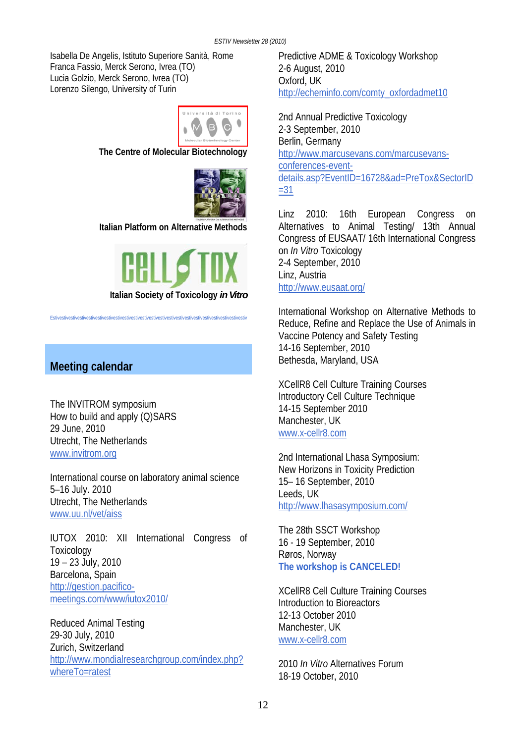Isabella De Angelis, Istituto Superiore Sanità, Rome Franca Fassio, Merck Serono, Ivrea (TO) Lucia Golzio, Merck Serono, Ivrea (TO) Lorenzo Silengo, University of Turin



**The Centre of Molecular Biotechnology** 



**Italian Platform on Alternative Methods** 



**Italian Society of Toxicology** *in Vitro*

Estivestivestivestivestivestivestivestivestivestivestivestivestivestivestivestivestivestivestivestivestivestiv

## **Meeting calendar**

The INVITROM symposium How to build and apply (Q)SARS 29 June, 2010 Utrecht, The Netherlands www.invitrom.org

International course on laboratory animal science 5–16 July. 2010 Utrecht, The Netherlands www.uu.nl/vet/aiss

IUTOX 2010: XII International Congress of Toxicology 19 – 23 July, 2010 Barcelona, Spain [http://gestion.pacifico](http://gestion.pacifico-meetings.com/www/iutox2010/)[meetings.com/www/iutox2010/](http://gestion.pacifico-meetings.com/www/iutox2010/)

Reduced Animal Testing 29-30 July, 2010 Zurich, Switzerland [http://www.mondialresearchgroup.com/index.php?](http://www.mondialresearchgroup.com/index.php?whereTo=ratest) [whereTo=ratest](http://www.mondialresearchgroup.com/index.php?whereTo=ratest)

Predictive ADME & Toxicology Workshop 2-6 August, 2010 Oxford, UK [http://echeminfo.com/comty\\_oxfordadmet10](http://echeminfo.com/comty_oxfordadmet10)

2nd Annual Predictive Toxicology 2-3 September, 2010 Berlin, Germany [http://www.marcusevans.com/marcusevans](http://www.marcusevans.com/marcusevans-conferences-event-details.asp?EventID=16728&ad=PreTox&SectorID=31)[conferences-event](http://www.marcusevans.com/marcusevans-conferences-event-details.asp?EventID=16728&ad=PreTox&SectorID=31)[details.asp?EventID=16728&ad=PreTox&SectorID](http://www.marcusevans.com/marcusevans-conferences-event-details.asp?EventID=16728&ad=PreTox&SectorID=31)  $= 31$ 

Linz 2010: 16th European Congress on Alternatives to Animal Testing/ 13th Annual Congress of EUSAAT/ 16th International Congress on *In Vitro* Toxicology 2-4 September, 2010 Linz, Austria <http://www.eusaat.org/>

International Workshop on Alternative Methods to Reduce, Refine and Replace the Use of Animals in Vaccine Potency and Safety Testing 14-16 September, 2010 Bethesda, Maryland, USA

XCellR8 Cell Culture Training Courses Introductory Cell Culture Technique 14-15 September 2010 Manchester, UK [www.x-cellr8.com](http://www.x-cellr8.com/)

2nd International Lhasa Symposium: New Horizons in Toxicity Prediction 15– 16 September, 2010 Leeds, UK <http://www.lhasasymposium.com/>

The 28th SSCT Workshop 16 - 19 September, 2010 Røros, Norway **The workshop is CANCELED!** 

XCellR8 Cell Culture Training Courses Introduction to Bioreactors 12-13 October 2010 Manchester, UK [www.x-cellr8.com](http://www.x-cellr8.com/)

2010 *In Vitro* Alternatives Forum 18-19 October, 2010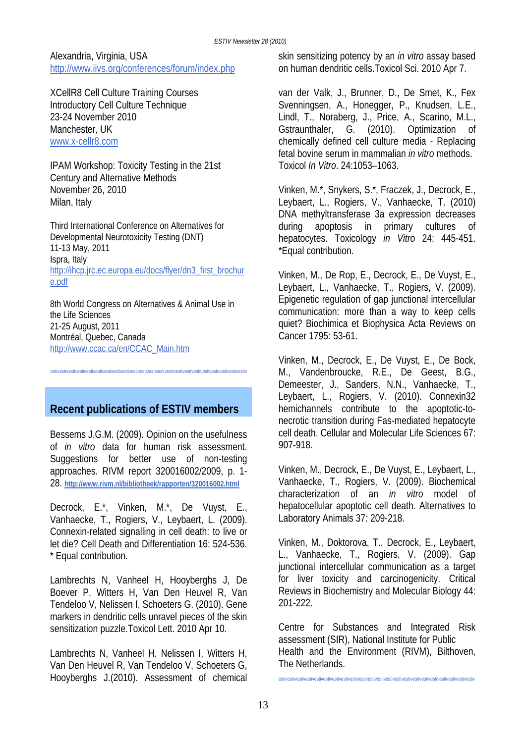Alexandria, Virginia, USA <http://www.iivs.org/conferences/forum/index.php>

XCellR8 Cell Culture Training Courses Introductory Cell Culture Technique 23-24 November 2010 Manchester, UK [www.x-cellr8.com](http://www.x-cellr8.com/)

IPAM Workshop: Toxicity Testing in the 21st Century and Alternative Methods November 26, 2010 Milan, Italy

Third International Conference on Alternatives for Developmental Neurotoxicity Testing (DNT) 11-13 May, 2011 Ispra, Italy [http://ihcp.jrc.ec.europa.eu/docs/flyer/dn3\\_first\\_brochur](http://ihcp.jrc.ec.europa.eu/docs/flyer/dn3_first_brochure.pdf) [e.pdf](http://ihcp.jrc.ec.europa.eu/docs/flyer/dn3_first_brochure.pdf)

8th World Congress on Alternatives & Animal Use in the Life Sciences 21-25 August, 2011 Montréal, Quebec, Canada [http://www.ccac.ca/en/CCAC\\_Main.htm](http://www.ccac.ca/en/CCAC_Main.htm)

## **Recent publications of ESTIV members**

estivestivestivestivestivestivestivestivestivestivestivestivestivestivestivestivestivestivestivestivestivestiv

Bessems J.G.M. (2009). Opinion on the usefulness of *in vitro* data for human risk assessment. Suggestions for better use of non-testing approaches. RIVM report 320016002/2009, p. [1](http://www.rivm.nl/bibliotheek/rapporten/320016002.html)- 28. **<http://www.rivm.nl/bibliotheek/rapporten/320016002.html>**

Decrock, E.\*, Vinken, M.\*, De Vuyst, E., Vanhaecke, T., Rogiers, V., Leybaert, L. (2009). Connexin-related signalling in cell death: to live or let die? Cell Death and Differentiation 16: 524-536. \* Equal contribution.

Lambrechts N, Vanheel H, Hooyberghs J, De Boever P, Witters H, Van Den Heuvel R, Van Tendeloo V, Nelissen I, Schoeters G. (2010). Gene markers in dendritic cells unravel pieces of the skin sensitization puzzle.Toxicol Lett. 2010 Apr 10.

Lambrechts N, Vanheel H, Nelissen I, Witters H, Van Den Heuvel R, Van Tendeloo V, Schoeters G, Hooyberghs J.(2010). Assessment of chemical skin sensitizing potency by an *in vitro* assay based on human dendritic cells.Toxicol Sci. 2010 Apr 7.

van der Valk, J., Brunner, D., De Smet, K., Fex Svenningsen, A., Honegger, P., Knudsen, L.E., Lindl, T., Noraberg, J., Price, A., Scarino, M.L., Gstraunthaler, G. (2010). Optimization of chemically defined cell culture media - Replacing fetal bovine serum in mammalian *in vitro* methods. Toxicol *In Vitro*. 24:1053–1063.

Vinken, M.\*, Snykers, S.\*, Fraczek, J., Decrock, E., Leybaert, L., Rogiers, V., Vanhaecke, T. (2010) DNA methyltransferase 3a expression decreases during apoptosis in primary cultures of hepatocytes. Toxicology *in Vitro* 24: 445-451. \*Equal contribution.

Vinken, M., De Rop, E., Decrock, E., De Vuyst, E., Leybaert, L., Vanhaecke, T., Rogiers, V. (2009). Epigenetic regulation of gap junctional intercellular communication: more than a way to keep cells quiet? Biochimica et Biophysica Acta Reviews on Cancer 1795: 53-61.

Vinken, M., Decrock, E., De Vuyst, E., De Bock, M., Vandenbroucke, R.E., De Geest, B.G., Demeester, J., Sanders, N.N., Vanhaecke, T., Leybaert, L., Rogiers, V. (2010). Connexin32 hemichannels contribute to the apoptotic-tonecrotic transition during Fas-mediated hepatocyte cell death. Cellular and Molecular Life Sciences 67: 907-918.

Vinken, M., Decrock, E., De Vuyst, E., Leybaert, L., Vanhaecke, T., Rogiers, V. (2009). Biochemical characterization of an *in vitro* model of hepatocellular apoptotic cell death. Alternatives to Laboratory Animals 37: 209-218.

Vinken, M., Doktorova, T., Decrock, E., Leybaert, L., Vanhaecke, T., Rogiers, V. (2009). Gap junctional intercellular communication as a target for liver toxicity and carcinogenicity. Critical Reviews in Biochemistry and Molecular Biology 44: 201-222.

Centre for Substances and Integrated Risk assessment (SIR), National Institute for Public Health and the Environment (RIVM), Bilthoven, The Netherlands.

estivestivestivestivestivestivestivestivestivestivestivestivestivestivestivestivestivestivestivestivestivestiv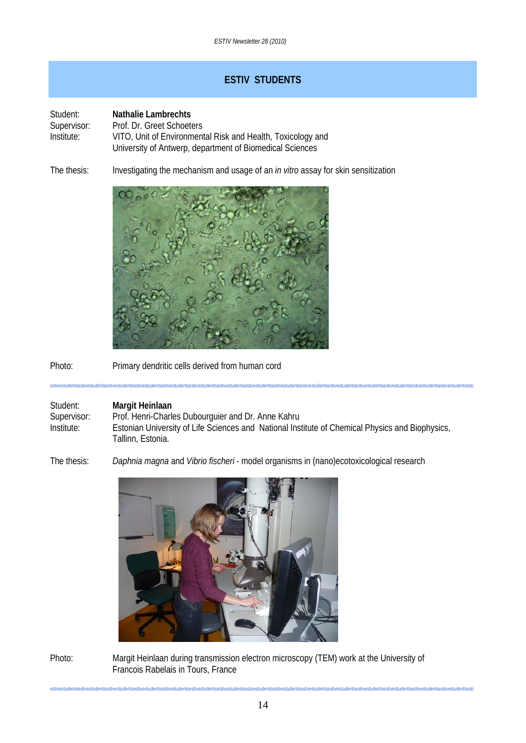## **ESTIV STUDENTS**

| Student:    | Nathalie Lambrechts                                         |
|-------------|-------------------------------------------------------------|
| Supervisor: | Prof. Dr. Greet Schoeters                                   |
| Institute:  | VITO, Unit of Environmental Risk and Health, Toxicology and |
|             | University of Antwerp, department of Biomedical Sciences    |

The thesis: Investigating the mechanism and usage of an *in vitro* assay for skin sensitization



Photo: Primary dendritic cells derived from human cord

#### Student: **Margit Heinlaan**

Supervisor: Prof. Henri-Charles Dubourguier and Dr. Anne Kahru Institute: Estonian University of Life Sciences and National Institute of Chemical Physics and Biophysics, Tallinn, Estonia.

estivestudentsestivestudentsestivestudentsestivestudentsestivestudentsestivestudentsestivestudentsestivestudentsestivestudentsestivestudentsestivestudentsestivestudentsestivestudentsestivestudentsestivestudentsesti

The thesis: *Daphnia magna* and *Vibrio fischeri* - model organisms in (nano)ecotoxicological research



Photo: Margit Heinlaan during transmission electron microscopy (TEM) work at the University of Francois Rabelais in Tours, France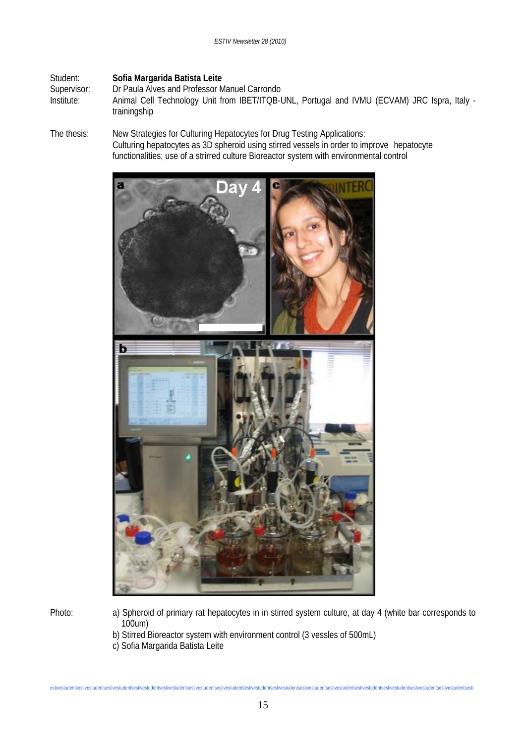#### Student: **Sofia Margarida Batista Leite**

Supervisor: Dr Paula Alves and Professor Manuel Carrondo Institute: Animal Cell Technology Unit from IBET/ITQB-UNL, Portugal and IVMU (ECVAM) JRC Ispra, Italy trainingship

The thesis: New Strategies for Culturing Hepatocytes for Drug Testing Applications: Culturing hepatocytes as 3D spheroid using stirred vessels in order to improve hepatocyte functionalities; use of a strirred culture Bioreactor system with environmental control



- Photo: a) Spheroid of primary rat hepatocytes in in stirred system culture, at day 4 (white bar corresponds to 100um)
	- b) Stirred Bioreactor system with environment control (3 vessles of 500mL)
	- c) Sofia Margarida Batista Leite

estivestudentsestivestudentsestivestudentsestivestudentsestivestudentsestivestudentsestivestudentsestivestudentsestivestudentsestivestudentsestivestudentsestivestudentsestivestudentsestivestudentsestivestudentsestivestuden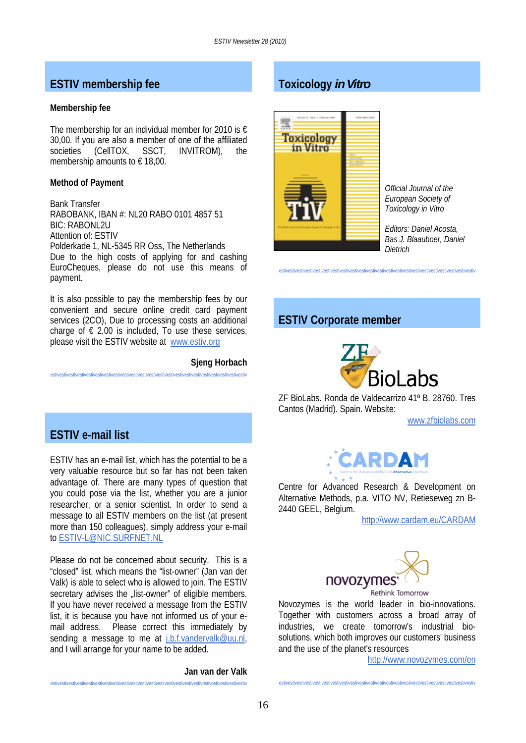## **ESTIV membership fee**

#### **Membership fee**

The membership for an individual member for 2010 is  $\epsilon$ 30,00. If you are also a member of one of the affiliated societies (CellTOX, SSCT, INVITROM), the membership amounts to  $\epsilon$  18,00.

#### **Method of Payment**

Bank Transfer RABOBANK, IBAN #: NL20 RABO 0101 4857 51 BIC: RABONL2U Attention of: ESTIV Polderkade 1, NL-5345 RR Oss, The Netherlands Due to the high costs of applying for and cashing EuroCheques, please do not use this means of payment.

It is also possible to pay the membership fees by our convenient and secure online credit card payment services (2CO), Due to processing costs an additional charge of  $\epsilon$  2,00 is included, To use these services, please visit the ESTIV website at [www.estiv.org](http://www.estiv.org/)

estivestivestivestivestivestivestivestivestivestivestivestivestivestivestivestivestivestivestivestivestivestiv

#### **Sjeng Horbach**

## **Toxicology** *in Vitro*



*Official Journal of the European Society of Toxicology in Vitro* 

*Editors: Daniel Acosta, Bas J. Blaauboer, Daniel Dietrich* 

estivestivestivestivestivestivestivestivestivestivestivestivestivestivestivestivestivestivestivestivestivestiv

## **ESTIV Corporate member**



ZF BioLabs. Ronda de Valdecarrizo 41º B. 28760. Tres Cantos (Madrid). Spain. Website:

[www.zfbiolabs.com](http://www.zfbiolabs.com/)



Centre for Advanced Research & Development on Alternative Methods, p.a. VITO NV, Retieseweg zn B-2440 GEEL, Belgium.

<http://www.cardam.eu/CARDAM>



Rethink Tomorrow

Novozymes is the world leader in bio-innovations. Together with customers across a broad array of industries, we create tomorrow's industrial biosolutions, which both improves our customers' business and the use of the planet's resources

estivestivestivestivestivestivestivestivestivestivestivestivestivestivestivestivestivestivestivestivestivestiv

<http://www.novozymes.com/en>

## **ESTIV e-mail list**

ESTIV has an e-mail list, which has the potential to be a very valuable resource but so far has not been taken advantage of. There are many types of question that you could pose via the list, whether you are a junior researcher, or a senior scientist. In order to send a message to all ESTIV members on the list (at present more than 150 colleagues), simply address your e-mail to ESTIV-L@NIC.SURFNET.NL

Please do not be concerned about security. This is a "closed" list, which means the "list-owner" (Jan van der Valk) is able to select who is allowed to join. The ESTIV secretary advises the "list-owner" of eligible members. If you have never received a message from the ESTIV list, it is because you have not informed us of your email address. Please correct this immediately by sending a message to me at [j.b.f.vandervalk@uu.nl](mailto:j.b.f.vandervalk@uu.nl), and I will arrange for your name to be added.

estivestivestivestivestivestivestivestivestivestivestivestivestivestivestivestivestivestivestivestivestivestiv

**Jan van der Valk**